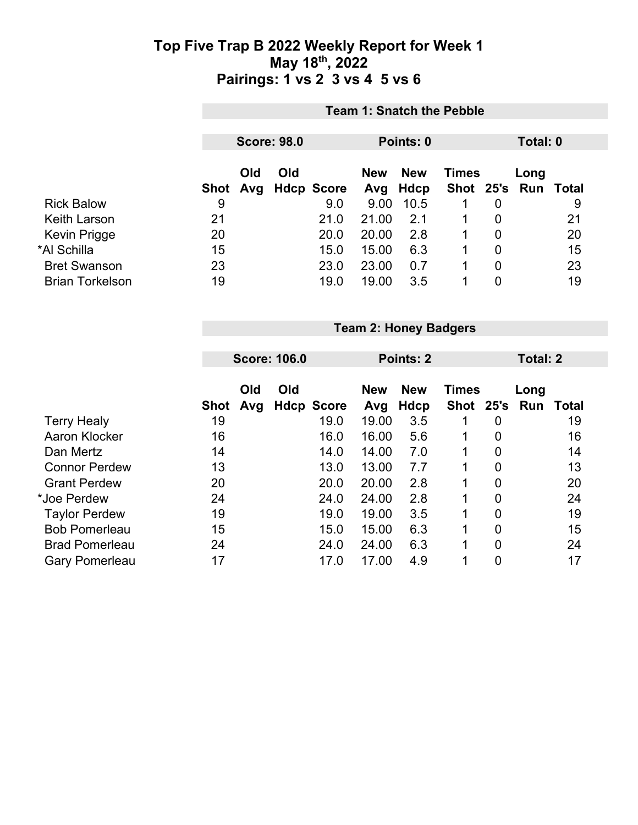|                        |          | <b>Team 1: Snatch the Pebble</b>            |     |                   |                   |                    |              |                |                             |    |  |
|------------------------|----------|---------------------------------------------|-----|-------------------|-------------------|--------------------|--------------|----------------|-----------------------------|----|--|
|                        |          | <b>Score: 98.0</b><br>Total: 0<br>Points: 0 |     |                   |                   |                    |              |                |                             |    |  |
|                        | Shot Avg | Old                                         | Old | <b>Hdcp Score</b> | <b>New</b><br>Avg | <b>New</b><br>Hdcp | <b>Times</b> |                | Long<br>Shot 25's Run Total |    |  |
| <b>Rick Balow</b>      | 9        |                                             |     | 9.0               | 9.00              | 10.5               |              | 0              |                             | 9  |  |
| Keith Larson           | 21       |                                             |     | 21.0              | 21.00             | 2.1                | 1            | $\overline{0}$ |                             | 21 |  |
| Kevin Prigge           | 20       |                                             |     | 20.0              | 20.00             | 2.8                |              | $\overline{0}$ |                             | 20 |  |
| *Al Schilla            | 15       |                                             |     | 15.0              | 15.00             | 6.3                |              | $\overline{0}$ |                             | 15 |  |
| <b>Bret Swanson</b>    | 23       |                                             |     | 23.0              | 23.00             | 0.7                |              | 0              |                             | 23 |  |
| <b>Brian Torkelson</b> | 19       |                                             |     | 19.0              | 19.00             | 3.5                |              | 0              |                             | 19 |  |

**Team 2: Honey Badgers**

|             |     |     |                     |                   | Total: 2                  |                  |                |             |              |
|-------------|-----|-----|---------------------|-------------------|---------------------------|------------------|----------------|-------------|--------------|
| <b>Shot</b> | Old | Old |                     | <b>New</b><br>Avg | <b>New</b><br><b>Hdcp</b> | <b>Times</b>     |                | Long<br>Run | <b>Total</b> |
| 19          |     |     | 19.0                | 19.00             | 3.5                       | 1                | 0              |             | 19           |
| 16          |     |     | 16.0                | 16.00             | 5.6                       | 1                | 0              |             | 16           |
| 14          |     |     | 14.0                | 14.00             | 7.0                       | $\mathbf{1}$     | $\overline{0}$ |             | 14           |
| 13          |     |     | 13.0                | 13.00             | 7.7                       | 1                | $\overline{0}$ |             | 13           |
| 20          |     |     | 20.0                | 20.00             | 2.8                       | 1                | 0              |             | 20           |
| 24          |     |     | 24.0                | 24.00             | 2.8                       | 1                | 0              |             | 24           |
| 19          |     |     | 19.0                | 19.00             | 3.5                       | 1                | 0              |             | 19           |
| 15          |     |     | 15.0                | 15.00             | 6.3                       | 1                | $\overline{0}$ |             | 15           |
| 24          |     |     | 24.0                | 24.00             | 6.3                       | $\mathbf 1$      | 0              |             | 24           |
| 17          |     |     | 17.0                | 17.00             | 4.9                       | 1                | 0              |             | 17           |
|             |     | Avg | <b>Score: 106.0</b> | <b>Hdcp Score</b> |                           | <b>Points: 2</b> |                |             | Shot 25's    |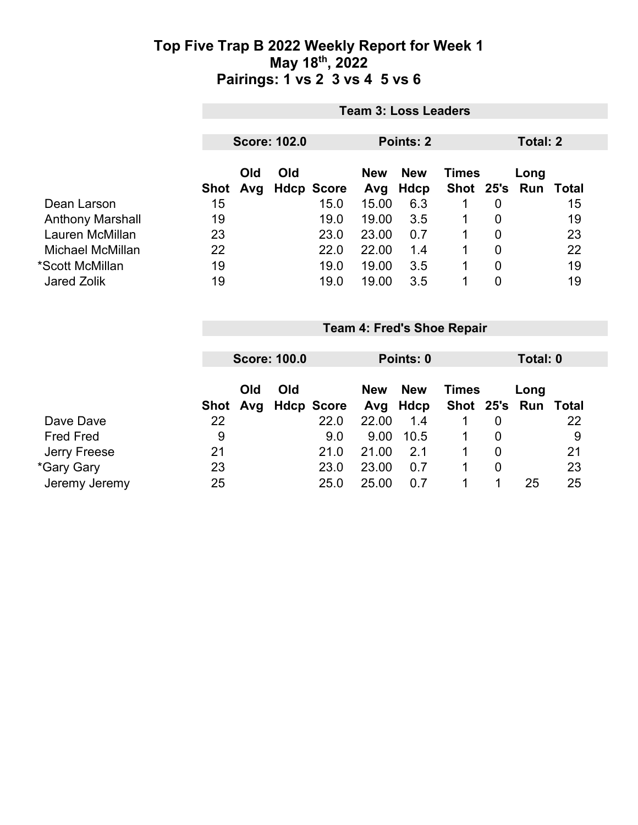|                         | <b>Team 3: Loss Leaders</b>      |  |  |            |            |              |   |                |                     |    |  |
|-------------------------|----------------------------------|--|--|------------|------------|--------------|---|----------------|---------------------|----|--|
|                         | <b>Score: 102.0</b><br>Points: 2 |  |  |            |            |              |   |                | Total: 2            |    |  |
|                         | Old<br>Old<br>Avg Hdcp Score     |  |  | <b>New</b> | <b>New</b> | <b>Times</b> |   | Long           |                     |    |  |
|                         | Shot                             |  |  |            | Avg        | <b>Hdcp</b>  |   |                | Shot 25's Run Total |    |  |
| Dean Larson             | 15                               |  |  | 15.0       | 15.00      | 6.3          | 1 | $\overline{0}$ |                     | 15 |  |
| <b>Anthony Marshall</b> | 19                               |  |  | 19.0       | 19.00      | 3.5          | 1 | $\overline{0}$ |                     | 19 |  |
| Lauren McMillan         | 23                               |  |  | 23.0       | 23.00      | 0.7          | 1 | 0              |                     | 23 |  |
| Michael McMillan        | 22                               |  |  | 22.0       | 22.00      | 1.4          |   | 0              |                     | 22 |  |
| *Scott McMillan         | 19                               |  |  | 19.0       | 19.00      | 3.5          | 1 | $\mathbf 0$    |                     | 19 |  |
| Jared Zolik             | 19                               |  |  | 19.0       | 19.00      | 3.5          | 1 | 0              |                     | 19 |  |

|    |     |     |                                 | Points: 0         |            |          |   | Total: 0     |                     |  |
|----|-----|-----|---------------------------------|-------------------|------------|----------|---|--------------|---------------------|--|
|    |     |     |                                 |                   |            |          |   |              |                     |  |
|    | Old | Old |                                 | <b>New</b>        | <b>New</b> |          |   | Long         |                     |  |
|    |     |     |                                 |                   |            |          |   |              |                     |  |
| 22 |     |     | 22.0                            | 22.00             | 1.4        |          | 0 |              | 22                  |  |
| 9  |     |     | 9.0                             | 9.00              | 10.5       |          | 0 |              | 9                   |  |
| 21 |     |     | 21.0                            | 21.00             | 2.1        |          | 0 |              | 21                  |  |
| 23 |     |     | 23.0                            | 23.00             | 0.7        |          | 0 |              | 23                  |  |
| 25 |     |     | 25.0                            | 25.00             | 0.7        |          |   | 25           | 25                  |  |
|    |     |     | <b>Score: 100.0</b><br>Shot Avg | <b>Hdcp Score</b> |            | Avg Hdcp |   | <b>Times</b> | Shot 25's Run Total |  |

**Team 4: Fred's Shoe Repair**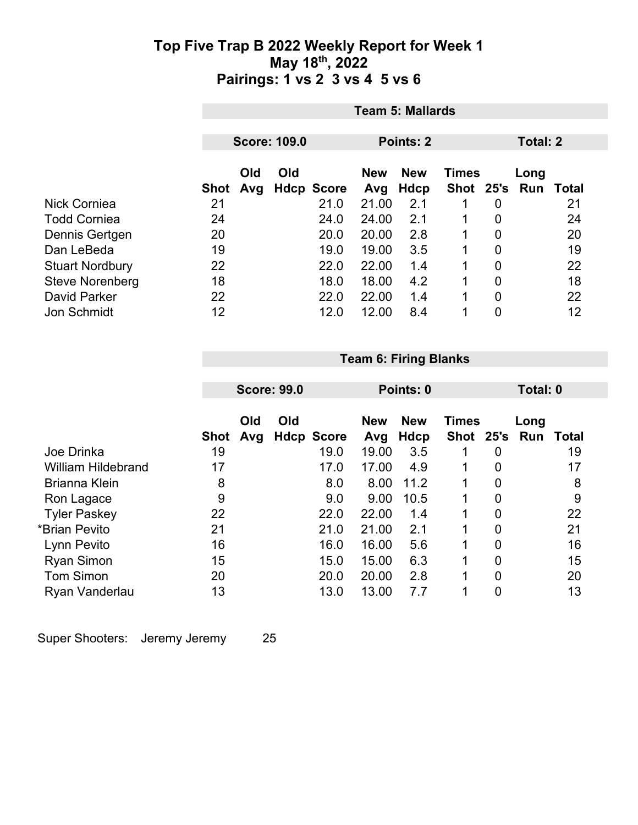|                        | <b>Team 5: Mallards</b> |                                              |     |                   |                   |                    |                           |                |                   |    |
|------------------------|-------------------------|----------------------------------------------|-----|-------------------|-------------------|--------------------|---------------------------|----------------|-------------------|----|
|                        |                         | <b>Score: 109.0</b><br>Total: 2<br>Points: 2 |     |                   |                   |                    |                           |                |                   |    |
|                        |                         |                                              |     |                   |                   |                    |                           |                |                   |    |
|                        | <b>Shot</b>             | Old<br>Avg                                   | Old | <b>Hdcp Score</b> | <b>New</b><br>Avg | <b>New</b><br>Hdcp | <b>Times</b><br>Shot 25's |                | Long<br>Run Total |    |
| Nick Corniea           | 21                      |                                              |     | 21.0              | 21.00             | 2.1                |                           | 0              |                   | 21 |
| <b>Todd Corniea</b>    | 24                      |                                              |     | 24.0              | 24.00             | 2.1                | 1                         | 0              |                   | 24 |
| Dennis Gertgen         | 20                      |                                              |     | 20.0              | 20.00             | 2.8                | 1                         | $\overline{0}$ |                   | 20 |
| Dan LeBeda             | 19                      |                                              |     | 19.0              | 19.00             | 3.5                |                           | $\overline{0}$ |                   | 19 |
| <b>Stuart Nordbury</b> | 22                      |                                              |     | 22.0              | 22.00             | 1.4                | 1                         | 0              |                   | 22 |
| <b>Steve Norenberg</b> | 18                      |                                              |     | 18.0              | 18.00             | 4.2                | 1                         | 0              |                   | 18 |
| <b>David Parker</b>    | 22                      |                                              |     | 22.0              | 22.00             | 1.4                | 4                         | 0              |                   | 22 |
| <b>Jon Schmidt</b>     | 12                      |                                              |     | 12.0              | 12.00             | 8.4                | 4                         | 0              |                   | 12 |

## **Team 6: Firing Blanks**

|                           |                   | <b>Score: 99.0</b> |     |                           | Points: 0    |                    |              |                | Total: 0 |             |  |
|---------------------------|-------------------|--------------------|-----|---------------------------|--------------|--------------------|--------------|----------------|----------|-------------|--|
|                           |                   | Old                | Old |                           | <b>New</b>   | <b>New</b>         | <b>Times</b> |                | Long     |             |  |
| Joe Drinka                | <b>Shot</b><br>19 | Avg                |     | <b>Hdcp Score</b><br>19.0 | Avg<br>19.00 | <b>Hdcp</b><br>3.5 | Shot 25's    | 0              | Run      | Total<br>19 |  |
| <b>William Hildebrand</b> | 17                |                    |     | 17.0                      | 17.00        | 4.9                | 1            | 0              |          | 17          |  |
| <b>Brianna Klein</b>      | 8                 |                    |     | 8.0                       | 8.00         | 11.2               |              | $\overline{0}$ |          | 8           |  |
| Ron Lagace                | 9                 |                    |     | 9.0                       | 9.00         | 10.5               | 1            | 0              |          | 9           |  |
| <b>Tyler Paskey</b>       | 22                |                    |     | 22.0                      | 22.00        | 1.4                | 1            | $\overline{0}$ |          | 22          |  |
| *Brian Pevito             | 21                |                    |     | 21.0                      | 21.00        | 2.1                | 1            | $\overline{0}$ |          | 21          |  |
| Lynn Pevito               | 16                |                    |     | 16.0                      | 16.00        | 5.6                | 1            | $\overline{0}$ |          | 16          |  |
| <b>Ryan Simon</b>         | 15                |                    |     | 15.0                      | 15.00        | 6.3                | 1            | $\overline{0}$ |          | 15          |  |
| <b>Tom Simon</b>          | 20                |                    |     | 20.0                      | 20.00        | 2.8                | 1            | $\overline{0}$ |          | 20          |  |
| Ryan Vanderlau            | 13                |                    |     | 13.0                      | 13.00        | 7.7                | 1            | $\overline{0}$ |          | 13          |  |

Super Shooters: Jeremy Jeremy 25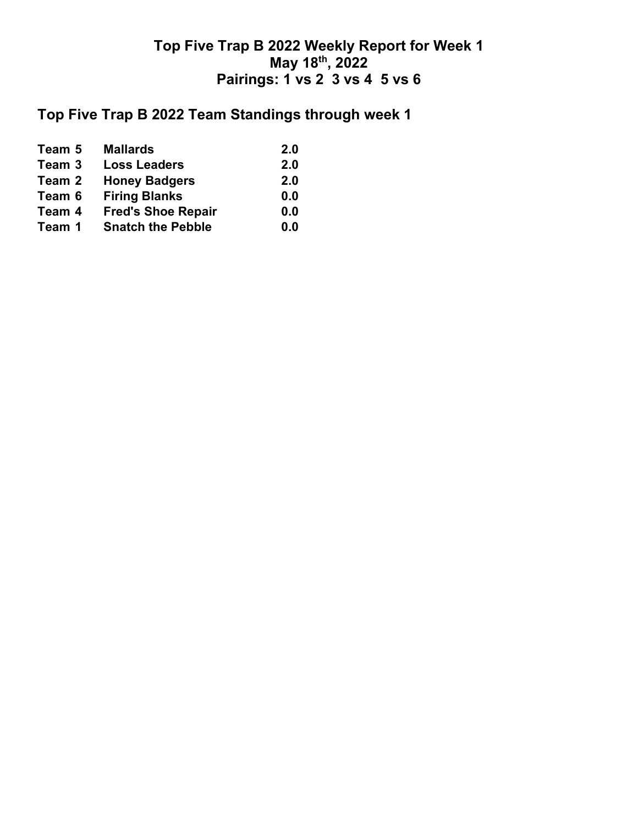## **Top Five Trap B 2022 Team Standings through week 1**

| Team 5 | <b>Mallards</b>           | 2.0 |
|--------|---------------------------|-----|
| Team 3 | <b>Loss Leaders</b>       | 2.0 |
| Team 2 | <b>Honey Badgers</b>      | 2.0 |
| Team 6 | <b>Firing Blanks</b>      | 0.0 |
| Team 4 | <b>Fred's Shoe Repair</b> | 0.0 |
| Team 1 | <b>Snatch the Pebble</b>  | 0.0 |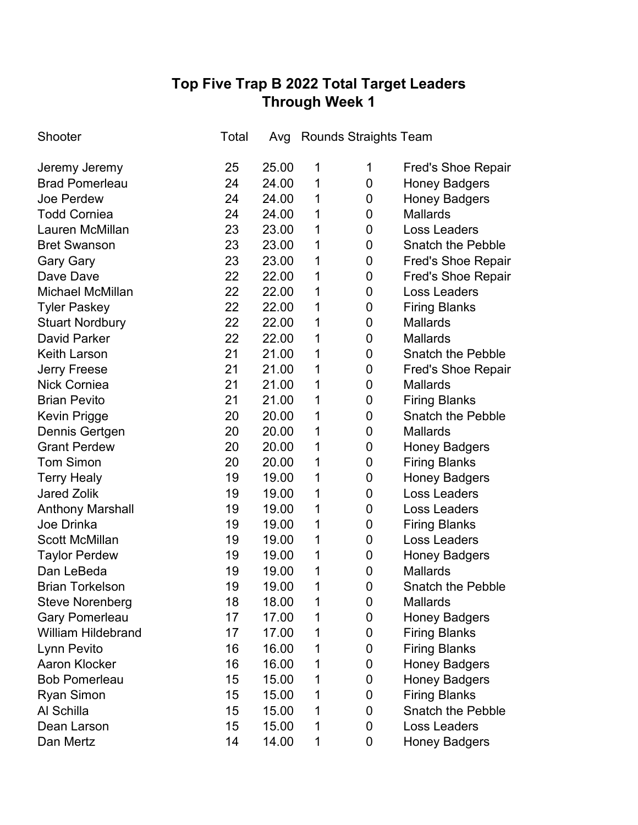# **Top Five Trap B 2022 Total Target Leaders Through Week 1**

| Shooter                   | Total | Avg   |   | <b>Rounds Straights Team</b> |                           |
|---------------------------|-------|-------|---|------------------------------|---------------------------|
| Jeremy Jeremy             | 25    | 25.00 | 1 | 1                            | <b>Fred's Shoe Repair</b> |
| <b>Brad Pomerleau</b>     | 24    | 24.00 | 1 | 0                            | <b>Honey Badgers</b>      |
| Joe Perdew                | 24    | 24.00 | 1 | 0                            | <b>Honey Badgers</b>      |
| <b>Todd Corniea</b>       | 24    | 24.00 | 1 | $\mathbf 0$                  | <b>Mallards</b>           |
| Lauren McMillan           | 23    | 23.00 | 1 | $\mathbf 0$                  | <b>Loss Leaders</b>       |
| <b>Bret Swanson</b>       | 23    | 23.00 | 1 | $\mathbf 0$                  | Snatch the Pebble         |
| <b>Gary Gary</b>          | 23    | 23.00 | 1 | 0                            | <b>Fred's Shoe Repair</b> |
| Dave Dave                 | 22    | 22.00 | 1 | $\mathbf 0$                  | <b>Fred's Shoe Repair</b> |
| Michael McMillan          | 22    | 22.00 | 1 | 0                            | <b>Loss Leaders</b>       |
| <b>Tyler Paskey</b>       | 22    | 22.00 | 1 | 0                            | <b>Firing Blanks</b>      |
| <b>Stuart Nordbury</b>    | 22    | 22.00 | 1 | 0                            | <b>Mallards</b>           |
| David Parker              | 22    | 22.00 | 1 | 0                            | Mallards                  |
| <b>Keith Larson</b>       | 21    | 21.00 | 1 | 0                            | <b>Snatch the Pebble</b>  |
| <b>Jerry Freese</b>       | 21    | 21.00 | 1 | 0                            | <b>Fred's Shoe Repair</b> |
| <b>Nick Corniea</b>       | 21    | 21.00 | 1 | 0                            | <b>Mallards</b>           |
| <b>Brian Pevito</b>       | 21    | 21.00 | 1 | 0                            | <b>Firing Blanks</b>      |
| <b>Kevin Prigge</b>       | 20    | 20.00 | 1 | $\mathbf 0$                  | <b>Snatch the Pebble</b>  |
| Dennis Gertgen            | 20    | 20.00 | 1 | 0                            | <b>Mallards</b>           |
| <b>Grant Perdew</b>       | 20    | 20.00 | 1 | 0                            | <b>Honey Badgers</b>      |
| <b>Tom Simon</b>          | 20    | 20.00 | 1 | 0                            | <b>Firing Blanks</b>      |
| <b>Terry Healy</b>        | 19    | 19.00 | 1 | 0                            | <b>Honey Badgers</b>      |
| <b>Jared Zolik</b>        | 19    | 19.00 | 1 | 0                            | <b>Loss Leaders</b>       |
| <b>Anthony Marshall</b>   | 19    | 19.00 | 1 | 0                            | <b>Loss Leaders</b>       |
| Joe Drinka                | 19    | 19.00 | 1 | 0                            | <b>Firing Blanks</b>      |
| <b>Scott McMillan</b>     | 19    | 19.00 | 1 | 0                            | <b>Loss Leaders</b>       |
| <b>Taylor Perdew</b>      | 19    | 19.00 | 1 | 0                            | <b>Honey Badgers</b>      |
| Dan LeBeda                | 19    | 19.00 | 1 | 0                            | <b>Mallards</b>           |
| <b>Brian Torkelson</b>    | 19    | 19.00 | 1 | $\overline{0}$               | <b>Snatch the Pebble</b>  |
| <b>Steve Norenberg</b>    | 18    | 18.00 | 1 | 0                            | <b>Mallards</b>           |
| <b>Gary Pomerleau</b>     | 17    | 17.00 | 1 | 0                            | <b>Honey Badgers</b>      |
| <b>William Hildebrand</b> | 17    | 17.00 | 1 | 0                            | <b>Firing Blanks</b>      |
| Lynn Pevito               | 16    | 16.00 | 1 | 0                            | <b>Firing Blanks</b>      |
| <b>Aaron Klocker</b>      | 16    | 16.00 | 1 | 0                            | <b>Honey Badgers</b>      |
| <b>Bob Pomerleau</b>      | 15    | 15.00 | 1 | 0                            | <b>Honey Badgers</b>      |
| <b>Ryan Simon</b>         | 15    | 15.00 | 1 | 0                            | <b>Firing Blanks</b>      |
| Al Schilla                | 15    | 15.00 | 1 | 0                            | <b>Snatch the Pebble</b>  |
| Dean Larson               | 15    | 15.00 | 1 | 0                            | Loss Leaders              |
| Dan Mertz                 | 14    | 14.00 | 1 | 0                            | <b>Honey Badgers</b>      |